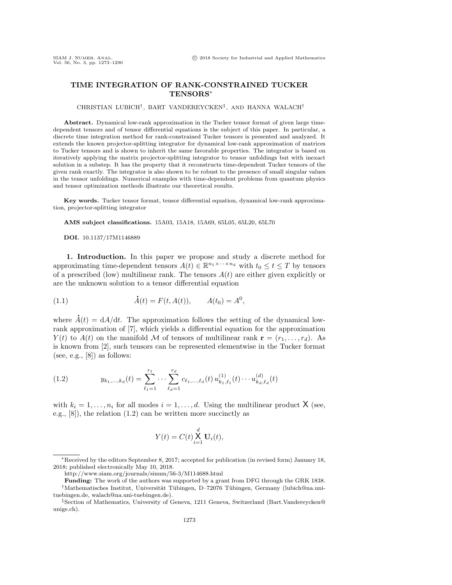# TIME INTEGRATION OF RANK-CONSTRAINED TUCKER TENSORS<sup>∗</sup>

### CHRISTIAN LUBICH† , BART VANDEREYCKEN‡ , AND HANNA WALACH†

Abstract. Dynamical low-rank approximation in the Tucker tensor format of given large timedependent tensors and of tensor differential equations is the subject of this paper. In particular, a discrete time integration method for rank-constrained Tucker tensors is presented and analyzed. It extends the known projector-splitting integrator for dynamical low-rank approximation of matrices to Tucker tensors and is shown to inherit the same favorable properties. The integrator is based on iteratively applying the matrix projector-splitting integrator to tensor unfoldings but with inexact solution in a substep. It has the property that it reconstructs time-dependent Tucker tensors of the given rank exactly. The integrator is also shown to be robust to the presence of small singular values in the tensor unfoldings. Numerical examples with time-dependent problems from quantum physics and tensor optimization methods illustrate our theoretical results.

Key words. Tucker tensor format, tensor differential equation, dynamical low-rank approximation, projector-splitting integrator

AMS subject classifications. 15A03, 15A18, 15A69, 65L05, 65L20, 65L70

DOI. 10.1137/17M1146889

1. Introduction. In this paper we propose and study a discrete method for approximating time-dependent tensors  $A(t) \in \mathbb{R}^{n_1 \times \cdots \times n_d}$  with  $t_0 \leq t \leq T$  by tensors of a prescribed (low) multilinear rank. The tensors  $A(t)$  are either given explicitly or are the unknown solution to a tensor differential equation

<span id="page-0-1"></span>(1.1) 
$$
\dot{A}(t) = F(t, A(t)), \qquad A(t_0) = A^0,
$$

where  $\dot{A}(t) = dA/dt$ . The approximation follows the setting of the dynamical lowrank approximation of [\[7\]](#page-17-0), which yields a differential equation for the approximation  $Y(t)$  to  $A(t)$  on the manifold M of tensors of multilinear rank  $\mathbf{r} = (r_1, \ldots, r_d)$ . As is known from [\[2\]](#page-17-1), such tensors can be represented elementwise in the Tucker format (see, e.g.,  $[8]$ ) as follows:

<span id="page-0-0"></span>(1.2) 
$$
y_{k_1,\ldots,k_d}(t) = \sum_{\ell_1=1}^{r_1} \cdots \sum_{\ell_d=1}^{r_d} c_{\ell_1,\ldots,\ell_d}(t) u_{k_1,\ell_1}^{(1)}(t) \cdots u_{k_d,\ell_d}^{(d)}(t)
$$

with  $k_i = 1, \ldots, n_i$  for all modes  $i = 1, \ldots, d$ . Using the multilinear product X (see, e.g., [\[8\]](#page-17-2)), the relation [\(1.2\)](#page-0-0) can be written more succinctly as

$$
Y(t) = C(t) \sum_{i=1}^{d} \mathbf{U}_{i}(t),
$$

<sup>∗</sup>Received by the editors September 8, 2017; accepted for publication (in revised form) January 18, 2018; published electronically May 10, 2018.

<http://www.siam.org/journals/sinum/56-3/M114688.html>

Funding: The work of the authors was supported by a grant from DFG through the GRK 1838. <sup>†</sup>Mathematisches Institut, Universität Tübingen, D-72076 Tübingen, Germany [\(lubich@na.uni](mailto:lubich@na.uni-tuebingen.de)[tuebingen.de,](mailto:lubich@na.uni-tuebingen.de) [walach@na.uni-tuebingen.de\)](mailto:walach@na.uni-tuebingen.de).

<sup>‡</sup>Section of Mathematics, University of Geneva, 1211 Geneva, Switzerland [\(Bart.Vandereycken@](mailto:Bart.Vandereycken@unige.ch) [unige.ch\)](mailto:Bart.Vandereycken@unige.ch).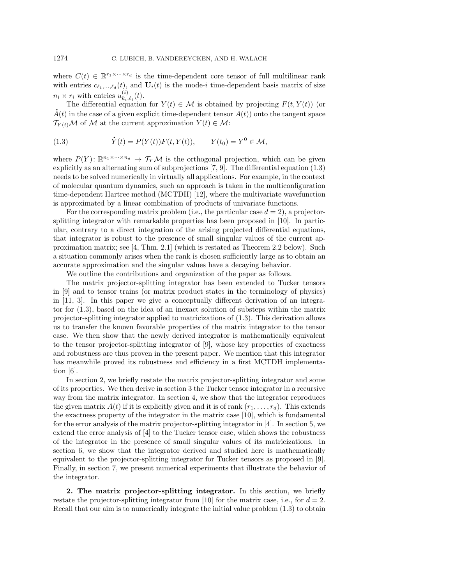where  $C(t) \in \mathbb{R}^{r_1 \times \cdots \times r_d}$  is the time-dependent core tensor of full multilinear rank with entries  $c_{\ell_1,\ldots,\ell_d}(t)$ , and  $\mathbf{U}_i(t)$  is the mode-i time-dependent basis matrix of size  $n_i \times r_i$  with entries  $u_{k_i}^{(i)}$  $_{k_{i},\ell_{i}}^{(i)}(t).$ 

The differential equation for  $Y(t) \in \mathcal{M}$  is obtained by projecting  $F(t, Y(t))$  (or The differential equation for  $Y(t) \in \mathcal{M}$  is obtained by projecting  $F(t, Y(t))$  (or  $\hat{A}(t)$  in the case of a given explicit time-dependent tensor  $A(t)$ ) onto the tangent space  $\mathcal{T}_{Y(t)}\mathcal{M}$  of M at the current approximation  $Y(t) \in \mathcal{M}$ :

<span id="page-1-0"></span>(1.3) 
$$
\dot{Y}(t) = P(Y(t))F(t, Y(t)), \qquad Y(t_0) = Y^0 \in \mathcal{M},
$$

where  $P(Y)$ :  $\mathbb{R}^{n_1 \times \cdots \times n_d} \to \mathcal{T}_Y \mathcal{M}$  is the orthogonal projection, which can be given explicitly as an alternating sum of subprojections [\[7,](#page-17-0) [9\]](#page-17-3). The differential equation [\(1.3\)](#page-1-0) needs to be solved numerically in virtually all applications. For example, in the context of molecular quantum dynamics, such an approach is taken in the multiconfiguration time-dependent Hartree method (MCTDH) [\[12\]](#page-17-4), where the multivariate wavefunction is approximated by a linear combination of products of univariate functions.

For the corresponding matrix problem (i.e., the particular case  $d = 2$ ), a projectorsplitting integrator with remarkable properties has been proposed in [\[10\]](#page-17-5). In particular, contrary to a direct integration of the arising projected differential equations, that integrator is robust to the presence of small singular values of the current approximation matrix; see [\[4,](#page-17-6) Thm. 2.1] (which is restated as Theorem [2.2](#page-2-0) below). Such a situation commonly arises when the rank is chosen sufficiently large as to obtain an accurate approximation and the singular values have a decaying behavior.

We outline the contributions and organization of the paper as follows.

The matrix projector-splitting integrator has been extended to Tucker tensors in [\[9\]](#page-17-3) and to tensor trains (or matrix product states in the terminology of physics) in [\[11,](#page-17-7) [3\]](#page-17-8). In this paper we give a conceptually different derivation of an integrator for [\(1.3\)](#page-1-0), based on the idea of an inexact solution of substeps within the matrix projector-splitting integrator applied to matricizations of [\(1.3\)](#page-1-0). This derivation allows us to transfer the known favorable properties of the matrix integrator to the tensor case. We then show that the newly derived integrator is mathematically equivalent to the tensor projector-splitting integrator of [\[9\]](#page-17-3), whose key properties of exactness and robustness are thus proven in the present paper. We mention that this integrator has meanwhile proved its robustness and efficiency in a first MCTDH implementation [\[6\]](#page-17-9).

In section [2,](#page-1-1) we briefly restate the matrix projector-splitting integrator and some of its properties. We then derive in section [3](#page-3-0) the Tucker tensor integrator in a recursive way from the matrix integrator. In section [4,](#page-7-0) we show that the integrator reproduces the given matrix  $A(t)$  if it is explicitly given and it is of rank  $(r_1, \ldots, r_d)$ . This extends the exactness property of the integrator in the matrix case [\[10\]](#page-17-5), which is fundamental for the error analysis of the matrix projector-splitting integrator in [\[4\]](#page-17-6). In section [5,](#page-10-0) we extend the error analysis of [\[4\]](#page-17-6) to the Tucker tensor case, which shows the robustness of the integrator in the presence of small singular values of its matricizations. In section [6,](#page-12-0) we show that the integrator derived and studied here is mathematically equivalent to the projector-splitting integrator for Tucker tensors as proposed in [\[9\]](#page-17-3). Finally, in section [7,](#page-15-0) we present numerical experiments that illustrate the behavior of the integrator.

<span id="page-1-1"></span>2. The matrix projector-splitting integrator. In this section, we briefly restate the projector-splitting integrator from [\[10\]](#page-17-5) for the matrix case, i.e., for  $d = 2$ . Recall that our aim is to numerically integrate the initial value problem [\(1.3\)](#page-1-0) to obtain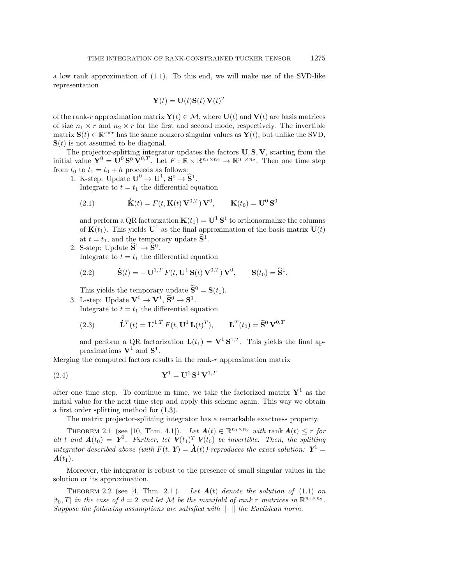a low rank approximation of [\(1.1\)](#page-0-1). To this end, we will make use of the SVD-like representation

$$
\mathbf{Y}(t) = \mathbf{U}(t)\mathbf{S}(t)\,\mathbf{V}(t)^T
$$

of the rank-r approximation matrix  $\mathbf{Y}(t) \in \mathcal{M}$ , where  $\mathbf{U}(t)$  and  $\mathbf{V}(t)$  are basis matrices of size  $n_1 \times r$  and  $n_2 \times r$  for the first and second mode, respectively. The invertible matrix  $\mathbf{S}(t) \in \mathbb{R}^{r \times r}$  has the same nonzero singular values as  $\mathbf{Y}(t)$ , but unlike the SVD,  $S(t)$  is not assumed to be diagonal.

The projector-splitting integrator updates the factors  $\mathbf{U}, \mathbf{S}, \mathbf{V}$ , starting from the initial value  $\mathbf{Y}^0 = \mathbf{U}^0 \mathbf{S}^0 \mathbf{V}^{0,T}$ . Let  $F : \mathbb{R} \times \mathbb{R}^{n_1 \times n_2} \to \mathbb{R}^{n_1 \times n_2}$ . Then one time step from  $t_0$  to  $t_1 = t_0 + h$  proceeds as follows:

1. K-step: Update  $\mathbf{U}^0 \to \mathbf{U}^1$ ,  $\mathbf{S}^0 \to \mathbf{\widehat{S}}^1$ .

Integrate to  $t = t_1$  the differential equation

<span id="page-2-1"></span>(2.1) 
$$
\dot{\mathbf{K}}(t) = F(t, \mathbf{K}(t) \mathbf{V}^{0,T}) \mathbf{V}^0, \quad \mathbf{K}(t_0) = \mathbf{U}^0 \mathbf{S}^0
$$

and perform a QR factorization  $\mathbf{K}(t_1) = \mathbf{U}^1 \mathbf{S}^1$  to orthonormalize the columns of  $\mathbf{K}(t_1)$ . This yields  $\mathbf{U}^1$  as the final approximation of the basis matrix  $\mathbf{U}(t)$ at  $t = t_1$ , and the temporary update  $\widehat{S}^1$ .

2. S-step: Update  $\widetilde{S}^1 \rightarrow \widetilde{S}^0$ . Integrate to  $t = t_1$  the differential equation

<span id="page-2-3"></span>(2.2) 
$$
\dot{\mathbf{S}}(t) = -\mathbf{U}^{1,T} F(t, \mathbf{U}^1 \mathbf{S}(t) \mathbf{V}^{0,T}) \mathbf{V}^0, \quad \mathbf{S}(t_0) = \hat{\mathbf{S}}^1.
$$

This yields the temporary update  $\widetilde{\mathbf{S}}^0 = \mathbf{S}(t_1)$ .

3. L-step: Update  $\mathbf{V}^0 \to \mathbf{V}^1$ ,  $\widetilde{\mathbf{S}}^0 \to \mathbf{S}^1$ . Integrate to  $t = t_1$  the differential equation

<span id="page-2-2"></span>(2.3) 
$$
\dot{\mathbf{L}}^T(t) = \mathbf{U}^{1,T} F(t, \mathbf{U}^1 \mathbf{L}(t)^T), \qquad \mathbf{L}^T(t_0) = \widetilde{\mathbf{S}}^0 \mathbf{V}^{0,T}
$$

and perform a QR factorization  $\mathbf{L}(t_1) = \mathbf{V}^1 \mathbf{S}^{1,T}$ . This yields the final approximations  $V^1$  and  $S^1$ .

Merging the computed factors results in the rank- $r$  approximation matrix

$$
\mathbf{Y}^1 = \mathbf{U}^1 \mathbf{S}^1 \mathbf{V}^{1,T}
$$

after one time step. To continue in time, we take the factorized matrix  $Y^1$  as the initial value for the next time step and apply this scheme again. This way we obtain a first order splitting method for [\(1.3\)](#page-1-0).

The matrix projector-splitting integrator has a remarkable exactness property.

<span id="page-2-4"></span>THEOREM 2.1 (see [\[10,](#page-17-5) Thm. 4.1]). Let  $\mathbf{A}(t) \in \mathbb{R}^{n_1 \times n_2}$  with rank  $\mathbf{A}(t) \leq r$  for all t and  $\mathbf{A}(t_0) = \mathbf{Y}^0$ . Further, let  $\mathbf{V}(t_1)^T \mathbf{V}(t_0)$  be invertible. Then, the splitting integrator described above (with  $F(t, Y) = \dot{A}(t)$ ) reproduces the exact solution:  $Y^1 =$  $\mathbf{A}(t_1)$ .

Moreover, the integrator is robust to the presence of small singular values in the solution or its approximation.

<span id="page-2-0"></span>THEOREM 2.2 (see [\[4,](#page-17-6) Thm. 2.1]). Let  $A(t)$  denote the solution of [\(1.1\)](#page-0-1) on  $[t_0,T]$  in the case of  $d=2$  and let M be the manifold of rank r matrices in  $\mathbb{R}^{n_1\times n_2}$ . Suppose the following assumptions are satisfied with  $\|\cdot\|$  the Euclidean norm.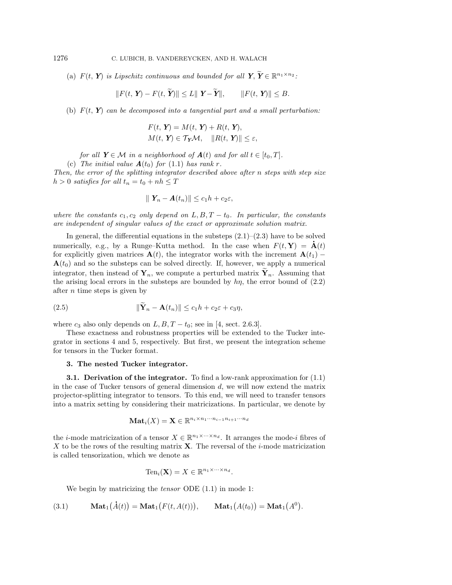(a)  $F(t, Y)$  is Lipschitz continuous and bounded for all  $Y, \widetilde{Y} \in \mathbb{R}^{n_1 \times n_2}$ :

$$
||F(t, Y) - F(t, \widetilde{Y})|| \le L||Y - \widetilde{Y}||, \qquad ||F(t, Y)|| \le B.
$$

(b)  $F(t, Y)$  can be decomposed into a tangential part and a small perturbation:

$$
F(t, Y) = M(t, Y) + R(t, Y),
$$
  

$$
M(t, Y) \in T_Y \mathcal{M}, \quad ||R(t, Y)|| \le \varepsilon,
$$

for all  $Y \in \mathcal{M}$  in a neighborhood of  $A(t)$  and for all  $t \in [t_0, T]$ .

(c) The initial value  $\mathbf{A}(t_0)$  for [\(1.1\)](#page-0-1) has rank r.

Then, the error of the splitting integrator described above after n steps with step size  $h > 0$  satisfies for all  $t_n = t_0 + nh \leq T$ 

$$
\parallel \mathbf{Y}_n - \mathbf{A}(t_n) \parallel \leq c_1 h + c_2 \varepsilon,
$$

where the constants  $c_1, c_2$  only depend on  $L, B, T - t_0$ . In particular, the constants are independent of singular values of the exact or approximate solution matrix.

In general, the differential equations in the substeps  $(2.1)$ – $(2.3)$  have to be solved numerically, e.g., by a Runge–Kutta method. In the case when  $F(t, Y) = A(t)$ for explicitly given matrices  $\mathbf{A}(t)$ , the integrator works with the increment  $\mathbf{A}(t_1)$  –  $\mathbf{A}(t_0)$  and so the substeps can be solved directly. If, however, we apply a numerical integrator, then instead of  $Y_n$ , we compute a perturbed matrix  $\tilde{Y}_n$ . Assuming that the arising local errors in the substeps are bounded by  $h\eta$ , the error bound of  $(2.2)$ after n time steps is given by

<span id="page-3-2"></span>(2.5) 
$$
\|\widetilde{\mathbf{Y}}_n - \mathbf{A}(t_n)\| \le c_1 h + c_2 \varepsilon + c_3 \eta,
$$

where  $c_3$  also only depends on  $L, B, T - t_0$ ; see in [\[4,](#page-17-6) sect. 2.6.3].

These exactness and robustness properties will be extended to the Tucker integrator in sections [4](#page-7-0) and [5,](#page-10-0) respectively. But first, we present the integration scheme for tensors in the Tucker format.

## <span id="page-3-0"></span>3. The nested Tucker integrator.

**3.1. Derivation of the integrator.** To find a low-rank approximation for  $(1.1)$ in the case of Tucker tensors of general dimension  $d$ , we will now extend the matrix projector-splitting integrator to tensors. To this end, we will need to transfer tensors into a matrix setting by considering their matricizations. In particular, we denote by

$$
\mathbf{Mat}_i(X) = \mathbf{X} \in \mathbb{R}^{n_i \times n_1 \cdots n_{i-1} n_{i+1} \cdots n_d}
$$

the *i*-mode matricization of a tensor  $X \in \mathbb{R}^{n_1 \times \cdots \times n_d}$ . It arranges the mode-*i* fibres of X to be the rows of the resulting matrix  $X$ . The reversal of the *i*-mode matricization is called tensorization, which we denote as

$$
\mathrm{Ten}_i(\mathbf{X}) = X \in \mathbb{R}^{n_1 \times \cdots \times n_d}.
$$

We begin by matricizing the *tensor* ODE  $(1.1)$  in mode 1:

<span id="page-3-1"></span>(3.1) 
$$
\mathbf{Mat}_1(\dot{A}(t)) = \mathbf{Mat}_1(F(t, A(t))), \qquad \mathbf{Mat}_1(A(t_0)) = \mathbf{Mat}_1(A^0).
$$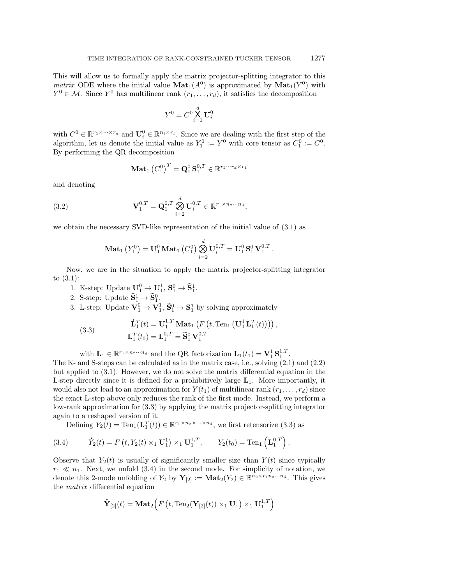This will allow us to formally apply the matrix projector-splitting integrator to this *matrix* ODE where the initial value  $\text{Mat}_1(A^0)$  is approximated by  $\text{Mat}_1(Y^0)$  with  $Y^0 \in \mathcal{M}$ . Since  $Y^0$  has multilinear rank  $(r_1, \ldots, r_d)$ , it satisfies the decomposition

$$
Y^0 = C^0 \mathop{\mathsf{X}}_{i=1}^d \mathbf{U}_i^0
$$

with  $C^0 \in \mathbb{R}^{r_1 \times \cdots \times r_d}$  and  $\mathbf{U}_i^0 \in \mathbb{R}^{n_i \times r_i}$ . Since we are dealing with the first step of the algorithm, let us denote the initial value as  $Y_1^0 := Y^0$  with core tensor as  $C_1^0 := C^0$ . By performing the QR decomposition

<span id="page-4-2"></span>
$$
\mathbf{Mat}_1\left(C^0_1\right)^T = \mathbf{Q}^0_1 \mathbf{S}^{0,T}_1 \in \mathbb{R}^{r_2 \cdots r_d \times r_1}
$$

and denoting

(3.2) 
$$
\mathbf{V}_1^{0,T} = \mathbf{Q}_1^{0,T} \bigotimes_{i=2}^d \mathbf{U}_i^{0,T} \in \mathbb{R}^{r_1 \times n_2 \cdots n_d},
$$

we obtain the necessary SVD-like representation of the initial value of [\(3.1\)](#page-3-1) as

$$
\mathbf{Mat}_1\left(Y^0_1\right)=\mathbf{U}^0_1\,\mathbf{Mat}_1\left(C^0_1\right)\bigotimes_{i=2}^d\mathbf{U}^{0,T}_i=\mathbf{U}^0_1\,\mathbf{S}^0_1\,\mathbf{V}^{0,T}_1
$$

.

Now, we are in the situation to apply the matrix projector-splitting integrator to [\(3.1\)](#page-3-1):

- 1. K-step: Update  $\mathbf{U}_1^0 \to \mathbf{U}_1^1$ ,  $\mathbf{S}_1^0 \to \mathbf{\widehat{S}}_1^1$ .
- 2. S-step: Update  $\widetilde{\mathbf{S}}_1^1 \rightarrow \widetilde{\mathbf{S}}_1^0$ .

3. L-step: Update  $\mathbf{V}_1^0 \to \mathbf{V}_1^1$ ,  $\widetilde{\mathbf{S}}_1^0 \to \mathbf{S}_1^1$  by solving approximately

<span id="page-4-0"></span>(3.3) 
$$
\mathbf{\dot{L}}_1^T(t) = \mathbf{U}_1^{1,T} \mathbf{Mat}_1 \left( F\left(t, \text{Ten}_1\left(\mathbf{U}_1^1 \mathbf{L}_1^T(t)\right)\right)\right),
$$

$$
\mathbf{L}_1^T(t_0) = \mathbf{L}_1^{0,T} = \widetilde{\mathbf{S}}_1^0 \mathbf{V}_1^{0,T}
$$

with  $\mathbf{L}_1 \in \mathbb{R}^{r_1 \times n_2 \cdots n_d}$  and the QR factorization  $\mathbf{L}_1(t_1) = \mathbf{V}_1^1 \mathbf{S}_1^{1,T}$ .

The K- and S-steps can be calculated as in the matrix case, i.e., solving [\(2.1\)](#page-2-1) and [\(2.2\)](#page-2-3) but applied to [\(3.1\)](#page-3-1). However, we do not solve the matrix differential equation in the L-step directly since it is defined for a prohibitively large  $L_1$ . More importantly, it would also not lead to an approximation for  $Y(t_1)$  of multilinear rank  $(r_1, \ldots, r_d)$  since the exact L-step above only reduces the rank of the first mode. Instead, we perform a low-rank approximation for [\(3.3\)](#page-4-0) by applying the matrix projector-splitting integrator again to a reshaped version of it.

Defining  $Y_2(t) = \text{Ten}_1(\mathbf{L}_1^T(t)) \in \mathbb{R}^{r_1 \times n_2 \times \cdots \times n_d}$ , we first retensorize [\(3.3\)](#page-4-0) as

<span id="page-4-1"></span>(3.4) 
$$
\dot{Y}_2(t) = F(t, Y_2(t) \times_1 \mathbf{U}_1^1) \times_1 \mathbf{U}_1^{1,T}, \qquad Y_2(t_0) = \text{Ten}_1(\mathbf{L}_1^{0,T}).
$$

Observe that  $Y_2(t)$  is usually of significantly smaller size than  $Y(t)$  since typically  $r_1 \ll n_1$ . Next, we unfold [\(3.4\)](#page-4-1) in the second mode. For simplicity of notation, we denote this 2-mode unfolding of  $Y_2$  by  $\mathbf{Y}_{[2]} := \mathbf{Mat}_2(Y_2) \in \mathbb{R}^{n_2 \times r_1 n_3 \cdots n_d}$ . This gives the matrix differential equation

$$
\mathbf{\dot{Y}}_{[2]}(t) = \mathbf{Mat}_2\Big( F\left(t, \mathrm{Ten}_2(\mathbf{Y}_{[2]}(t)) \times_1 \mathbf{U}_1^1\right) \times_1 \mathbf{U}_1^{1,T} \Big)
$$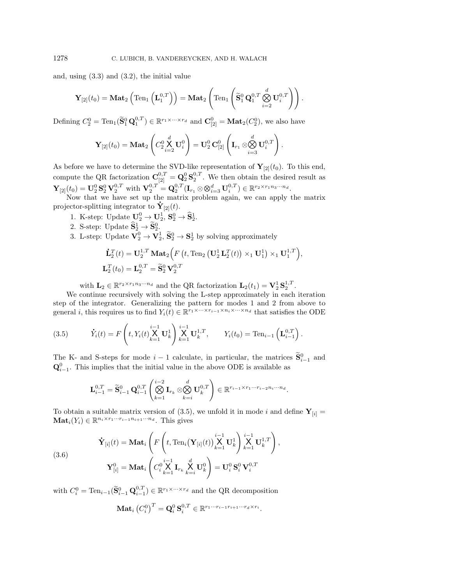and, using [\(3.3\)](#page-4-0) and [\(3.2\)](#page-4-2), the initial value

$$
\mathbf{Y}_{[2]}(t_0) = \mathbf{Mat}_2\left(\mathrm{Ten}_1\left(\mathbf{L}_1^{0,T}\right)\right) = \mathbf{Mat}_2\left(\mathrm{Ten}_1\left(\widetilde{\mathbf{S}}_1^0\mathbf{Q}_1^{0,T}\bigotimes_{i=2}^d \mathbf{U}_i^{0,T}\right)\right).
$$

Defining  $C_2^0 = \text{Ten}_1(\widetilde{\mathbf{S}}_1^0 \mathbf{Q}_1^{0,T}) \in \mathbb{R}^{r_1 \times \cdots \times r_d}$  and  $\mathbf{C}_{[2]}^0 = \textbf{Mat}_2(C_2^0)$ , we also have

$$
\mathbf{Y}_{[2]}(t_0) = \mathbf{Mat}_2\left(C_2^0 \mathop{\times}\limits_{i=2}^d \mathbf{U}_i^0\right) = \mathbf{U}_2^0 \mathbf{C}_{[2]}^0 \left(\mathbf{I}_{r_1} \otimes \mathop{\otimes}\limits_{i=3}^d \mathbf{U}_i^{0,T}\right)
$$

.

As before we have to determine the SVD-like representation of  $\mathbf{Y}_{[2]}(t_0)$ . To this end, compute the QR factorization  $\mathbf{C}_{[2]}^{0,T} = \mathbf{Q}_2^0 \mathbf{S}_2^{0,T}$ . We then obtain the desired result as  $\mathbf{Y}_{[2]}(t_0) = \mathbf{U}_2^0 \mathbf{S}_2^0 \mathbf{V}_2^{0,T}$  with  $\mathbf{V}_2^{0,T} = \mathbf{Q}_2^{0,T} (\mathbf{I}_{r_1} \otimes \otimes_{i=3}^d \mathbf{U}_i^{0,T}) \in \mathbb{R}^{r_2 \times r_1 n_3 \cdots n_d}$ .

Now that we have set up the matrix problem again, we can apply the matrix projector-splitting integrator to  $\mathbf{Y}_{[2]}(t)$ .

- 1. K-step: Update  $\mathbf{U}_2^0 \to \mathbf{U}_2^1$ ,  $\mathbf{S}_2^0 \to \mathbf{\widehat{S}}_2^1$ .
- 2. S-step: Update  $\widetilde{\mathbf{S}}_2^1 \rightarrow \widetilde{\mathbf{S}}_2^0$ .
- 3. L-step: Update  $\mathbf{V}_2^0 \to \mathbf{V}_2^1$ ,  $\widetilde{\mathbf{S}}_2^0 \to \mathbf{S}_2^1$  by solving approximately

$$
\begin{aligned} \mathbf{\dot{L}}_2^T(t) &= \mathbf{U}_2^{1,T} \, \mathbf{Mat}_2 \Big( F\left(t, \text{Ten}_2\left(\mathbf{U}_2^1 \mathbf{L}_2^T(t)\right) \times_1 \mathbf{U}_1^1\right) \times_1 \mathbf{U}_1^{1,T} \Big), \\ \mathbf{L}_2^T(t_0) &= \mathbf{L}_2^{0,T} = \widetilde{\mathbf{S}}_2^0 \mathbf{V}_2^{0,T} \end{aligned}
$$

with  $\mathbf{L}_2 \in \mathbb{R}^{r_2 \times r_1 n_3 \cdots n_d}$  and the QR factorization  $\mathbf{L}_2(t_1) = \mathbf{V}_2^1 \mathbf{S}_2^{1,T}$ .

We continue recursively with solving the L-step approximately in each iteration step of the integrator. Generalizing the pattern for modes 1 and 2 from above to general *i*, this requires us to find  $Y_i(t) \in \mathbb{R}^{r_1 \times \cdots \times r_{i-1} \times n_i \times \cdots \times n_d}$  that satisfies the ODE

<span id="page-5-0"></span>(3.5) 
$$
\dot{Y}_i(t) = F\left(t, Y_i(t) \underset{k=1}{\overset{i-1}{\times}} \mathbf{U}_k^1\right) \underset{k=1}{\overset{i-1}{\times}} \mathbf{U}_k^{1,T}, \qquad Y_i(t_0) = \text{Ten}_{i-1}\left(\mathbf{L}_{i-1}^{0,T}\right).
$$

The K- and S-steps for mode  $i-1$  calculate, in particular, the matrices  $\widetilde{\mathbf{S}}_{i-1}^{0}$  and  $\mathbf{Q}_{i-1}^0$ . This implies that the initial value in the above ODE is available as

$$
\mathbf{L}_{i-1}^{0,T} = \widetilde{\mathbf{S}}_{i-1}^0 \mathbf{Q}_{i-1}^{0,T} \left( \bigotimes_{k=1}^{i-2} \mathbf{I}_{r_k} \otimes \bigotimes_{k=i}^d \mathbf{U}_k^{0,T} \right) \in \mathbb{R}^{r_{i-1} \times r_1 \cdots r_{i-2} n_i \cdots n_d}.
$$

To obtain a suitable matrix version of [\(3.5\)](#page-5-0), we unfold it in mode i and define  $Y_{[i]} =$  $\mathbf{Mat}_i(Y_i) \in \mathbb{R}^{n_i \times r_1 \cdots r_{i-1} n_{i+1} \cdots n_d}$ . This gives

<span id="page-5-1"></span>(3.6)  
\n
$$
\dot{\mathbf{Y}}_{[i]}(t) = \mathbf{Mat}_i \left( F \left( t, \text{Ten}_i(\mathbf{Y}_{[i]}(t)) \bigtimes_{k=1}^{i-1} \mathbf{U}_k^1 \right) \bigtimes_{k=1}^{i-1} \mathbf{U}_k^{1,T} \right),
$$
\n
$$
\mathbf{Y}_{[i]}^0 = \mathbf{Mat}_i \left( C_i^0 \bigtimes_{k=1}^{i-1} \mathbf{I}_{r_k} \bigtimes_{k=i}^d \mathbf{U}_k^0 \right) = \mathbf{U}_i^0 \mathbf{S}_i^0 \mathbf{V}_i^{0,T}
$$

with  $C_i^0 = \text{Ten}_{i-1}(\widetilde{\mathbf{S}}_{i-1}^0 \mathbf{Q}_{i-1}^{0,T}) \in \mathbb{R}^{r_1 \times \cdots \times r_d}$  and the QR decomposition

$$
\mathbf{Mat}_i\left(C_i^0\right)^T = \mathbf{Q}_i^0 \mathbf{S}_i^{0,T} \in \mathbb{R}^{r_1 \cdots r_{i-1} r_{i+1} \cdots r_d \times r_i}.
$$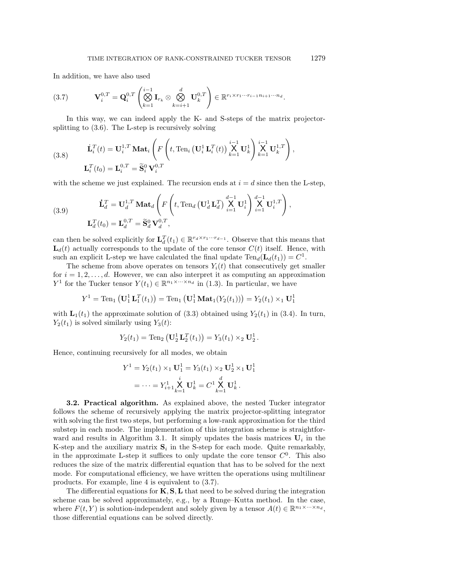In addition, we have also used

<span id="page-6-0"></span>
$$
(3.7) \qquad \mathbf{V}_{i}^{0,T} = \mathbf{Q}_{i}^{0,T} \left( \bigotimes_{k=1}^{i-1} \mathbf{I}_{r_k} \otimes \bigotimes_{k=i+1}^{d} \mathbf{U}_{k}^{0,T} \right) \in \mathbb{R}^{r_i \times r_1 \cdots r_{i-1} n_{i+1} \cdots n_d}.
$$

In this way, we can indeed apply the K- and S-steps of the matrix projectorsplitting to [\(3.6\)](#page-5-1). The L-step is recursively solving

<span id="page-6-1"></span>(3.8) 
$$
\dot{\mathbf{L}}_i^T(t) = \mathbf{U}_i^{1,T} \mathbf{M} \mathbf{a} \mathbf{t}_i \left( F \left( t, \text{Ten}_i \left( \mathbf{U}_i^1 \mathbf{L}_i^T(t) \right) \overset{i-1}{\underset{k=1}{\times}} \mathbf{U}_k^1 \right) \overset{i-1}{\underset{k=1}{\times}} \mathbf{U}_k^{1,T} \right),
$$

$$
\mathbf{L}_i^T(t_0) = \mathbf{L}_i^{0,T} = \widetilde{\mathbf{S}}_i^0 \mathbf{V}_i^{0,T}
$$

with the scheme we just explained. The recursion ends at  $i = d$  since then the L-step,

(3.9) 
$$
\mathbf{\dot{L}}_d^T = \mathbf{U}_d^{1,T} \mathbf{M} \mathbf{a} \mathbf{t}_d \left( F \left( t, \text{Ten}_d \left( \mathbf{U}_d^1 \mathbf{L}_d^T \right) \overset{d-1}{\underset{i=1}{\times}} \mathbf{U}_i^1 \right) \overset{d-1}{\underset{i=1}{\times}} \mathbf{U}_i^{1,T} \right),
$$

$$
\mathbf{L}_d^T(t_0) = \mathbf{L}_d^{0,T} = \widetilde{\mathbf{S}}_d^0 \mathbf{V}_d^{0,T},
$$

can then be solved explicitly for  $\mathbf{L}_d^T(t_1) \in \mathbb{R}^{r_d \times r_1 \cdots r_{d-1}}$ . Observe that this means that  $\mathbf{L}_{d}(t)$  actually corresponds to the update of the core tensor  $C(t)$  itself. Hence, with such an explicit L-step we have calculated the final update  $\text{Ten}_d(L_d(t_1)) = C^1$ .

The scheme from above operates on tensors  $Y_i(t)$  that consecutively get smaller for  $i = 1, 2, \ldots, d$ . However, we can also interpret it as computing an approximation  $Y^1$  for the Tucker tensor  $Y(t_1) \in \mathbb{R}^{n_1 \times \cdots \times n_d}$  in [\(1.3\)](#page-1-0). In particular, we have

$$
Y^1
$$
 = Ten<sub>1</sub>  $(\mathbf{U}_1^1 \mathbf{L}_1^T(t_1))$  = Ten<sub>1</sub>  $(\mathbf{U}_1^1 \mathbf{Mat}_1(Y_2(t_1)))$  =  $Y_2(t_1) \times_1 \mathbf{U}_1^1$ 

with  $\mathbf{L}_1(t_1)$  the approximate solution of [\(3.3\)](#page-4-0) obtained using  $Y_2(t_1)$  in [\(3.4\)](#page-4-1). In turn,  $Y_2(t_1)$  is solved similarly using  $Y_3(t)$ :

$$
Y_2(t_1) = \text{Ten}_2\left(\mathbf{U}_2^1\mathbf{L}_2^T(t_1)\right) = Y_3(t_1) \times_2 \mathbf{U}_2^1.
$$

Hence, continuing recursively for all modes, we obtain

$$
Y^{1} = Y_{2}(t_{1}) \times_{1} \mathbf{U}_{1}^{1} = Y_{3}(t_{1}) \times_{2} \mathbf{U}_{2}^{1} \times_{1} \mathbf{U}_{1}^{1}
$$

$$
= \cdots = Y_{i+1}^{1} \mathbf{X}_{k=1}^{1} \mathbf{U}_{k}^{1} = C^{1} \mathbf{X}_{k=1}^{1} \mathbf{U}_{k}^{1}.
$$

3.2. Practical algorithm. As explained above, the nested Tucker integrator follows the scheme of recursively applying the matrix projector-splitting integrator with solving the first two steps, but performing a low-rank approximation for the third substep in each mode. The implementation of this integration scheme is straightfor-ward and results in Algorithm [3.1.](#page-7-1) It simply updates the basis matrices  $U_i$  in the K-step and the auxiliary matrix  $S_i$  in the S-step for each mode. Quite remarkably, in the approximate L-step it suffices to only update the core tensor  $C^0$ . This also reduces the size of the matrix differential equation that has to be solved for the next mode. For computational efficiency, we have written the operations using multilinear products. For example, line [4](#page-7-2) is equivalent to [\(3.7\)](#page-6-0).

The differential equations for  $K, S, L$  that need to be solved during the integration scheme can be solved approximately, e.g., by a Runge–Kutta method. In the case, where  $F(t, Y)$  is solution-independent and solely given by a tensor  $A(t) \in \mathbb{R}^{n_1 \times \cdots \times n_d}$ , those differential equations can be solved directly.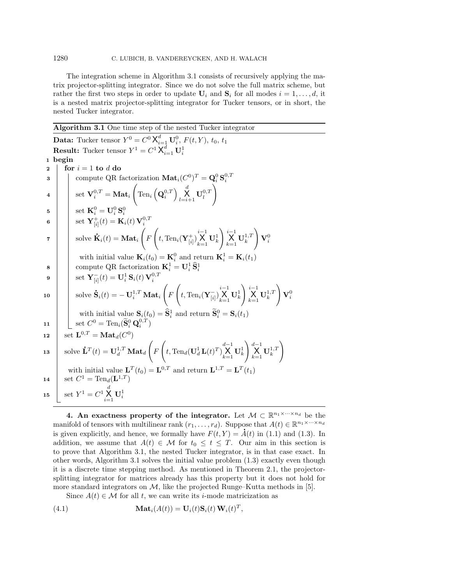#### 1280 C. LUBICH, B. VANDEREYCKEN, AND H. WALACH

The integration scheme in Algorithm [3.1](#page-7-1) consists of recursively applying the matrix projector-splitting integrator. Since we do not solve the full matrix scheme, but rather the first two steps in order to update  $U_i$  and  $S_i$  for all modes  $i = 1, \ldots, d$ , it is a nested matrix projector-splitting integrator for Tucker tensors, or in short, the nested Tucker integrator.

<span id="page-7-2"></span><span id="page-7-1"></span>Algorithm 3.1 One time step of the nested Tucker integrator **Data:** Tucker tensor  $Y^0 = C^0 \mathsf{X}_{i=1}^d \mathbf{U}_i^0$ ,  $F(t, Y)$ ,  $t_0$ ,  $t_1$ **Result:** Tucker tensor  $Y^1 = C^1 X_{i=1}^d \mathbf{U}_i^1$ 1 begin 2 for  $i = 1$  to d do 3 compute QR factorization  $\textbf{Mat}_i(C^0)^T = \textbf{Q}_i^0 \textbf{S}_i^{0,T}$  $\begin{array}{ccc} \texttt{4} & \end{array} \bigg| \quad \text{ set } \mathbf{V}^{0,T}_i = \mathbf{Mat}_i$  $\sqrt{2}$  $\mathrm{Ten}_i\left(\mathbf{Q}_i^{0,T}\right)\prod_{l=i+1}^d\mathbf{U}_l^{0,T}$  $\setminus$  $\mathbf{5} \quad | \quad \text{ } \quad \text{ set } \ \mathbf{K}^{0}_{i} = \mathbf{U}^{0}_{i} \, \mathbf{S}^{0}_{i}$  $\mathbf{6}$   $\qquad \qquad \mid \quad \text{ set } \mathbf{Y}_{[i]}^+(t) = \mathbf{K}_i(t) \, \mathbf{V}_i^{0,T}$  $\begin{array}{c|c} \hline \mathbf{z} & \mathbf{z} \\ \hline \end{array}$  solve  $\mathbf{\dot{K}}$  $\mathbf{K}_i(t) = \mathbf{Mat}_i$  $\sqrt{2}$ F  $\sqrt{2}$ t, Ten<sub>i</sub> $(\mathbf{Y}_{[i]}^+)$  $\bigtimes\limits_{k=1}^{i-1}\mathbf{U}_{k}^{1}$  $\left.\begin{array}{l} {i-1} \ \ \ \text{X} \ \ \text{U}_{k}^{1,T} \end{array}\right.$  $\setminus$  ${\bf V}_i^0$ with initial value  $\mathbf{K}_i(t_0) = \mathbf{K}_i^0$  and return  $\mathbf{K}_i^1 = \mathbf{K}_i(t_1)$ 8 compute QR factorization  $\mathbf{K}_i^1 = \mathbf{U}_i^1 \, \widehat{\mathbf{S}}_i^1$  $\mathbf{9} \quad \Big\vert \quad \Big\vert \quad \text{set} \ \mathbf{Y}_{[i]}^-(t) = \mathbf{U}_i^1 \, \mathbf{S}_i(t) \, \mathbf{V}_i^{0,T}$  $_{10}$   $\Big| \Big|$  solve  $\dot{\mathbf{S}}$  $\mathbf{\dot{S}}_i(t) = -\,\mathbf{U}_i^{1,T} \, \mathbf{M} \mathbf{a} \mathbf{t}_i$  $\sqrt{ }$ F  $\sqrt{ }$ t, Ten<sub>i</sub>( $\mathbf{Y}_{[i]}^-$ )  $\bigtimes\limits_{k=1}^{i-1}\mathbf{U}_{k}^{1}$  $\bigg\rceil\bigg\vert_{k=1}^{i-1}\mathbf{U}_{k}^{1,T}$  $\setminus$  ${\bf V}_i^0$ with initial value  $\mathbf{S}_i(t_0) = \widehat{\mathbf{S}}_i^1$  and return  $\widetilde{\mathbf{S}}_i^0 = \mathbf{S}_i(t_1)$ 11  $\Big| \Big| \cos C^0 = \text{Ten}_i(\widetilde{\mathbf{S}}_i^0 \mathbf{Q}_i^{0,T})$ 12 set  $\mathbf{L}^{0,T} = \mathbf{Mat}_d(C^0)$  $\begin{array}{ll} \texttt{13} \end{array} \Big|\quad \text{solve } \mathbf{\dot{L}}^T(t) = \mathbf{U}_{d}^{1,T} \, \mathbf{Mat}_{d}$  $\sqrt{ }$ F  $\Bigg(t, \text{Ten}_d(\mathbf{U}_d^1 \mathbf{L}(t)^T)$  $\bigtimes\limits_{k=1}^{d-1}\mathbf{U}_{k}^{1}$  $\Bigg\}\bigg|_{k=1}^{d-1}\mathbf{U}_{k}^{1,T}$  $\setminus$ with initial value  $\mathbf{L}^T(t_0) = \mathbf{L}^{0,T}$  and return  $\mathbf{L}^{1,T} = \mathbf{L}^T(t_1)$ 14 | set  $C^1 = \text{Ten}_d(L^{1,T})$ 15 Set  $Y^1 = C^1 \times \{ \bigcup_{i=1}^d \mathbf{U}_i^1 \}$ 

<span id="page-7-0"></span>4. An exactness property of the integrator. Let  $\mathcal{M} \subset \mathbb{R}^{n_1 \times \cdots \times n_d}$  be the manifold of tensors with multilinear rank  $(r_1, \ldots, r_d)$ . Suppose that  $A(t) \in \mathbb{R}^{n_1 \times \cdots \times n_d}$ is given explicitly, and hence, we formally have  $F(t, Y) = A(t)$  in [\(1.1\)](#page-0-1) and [\(1.3\)](#page-1-0). In addition, we assume that  $A(t) \in \mathcal{M}$  for  $t_0 \leq t \leq T$ . Our aim in this section is to prove that Algorithm [3.1,](#page-7-1) the nested Tucker integrator, is in that case exact. In other words, Algorithm [3.1](#page-7-1) solves the initial value problem [\(1.3\)](#page-1-0) exactly even though it is a discrete time stepping method. As mentioned in Theorem [2.1,](#page-2-4) the projectorsplitting integrator for matrices already has this property but it does not hold for more standard integrators on  $\mathcal{M}$ , like the projected Runge–Kutta methods in [\[5\]](#page-17-10).

Since  $A(t) \in \mathcal{M}$  for all t, we can write its *i*-mode matricization as

<span id="page-7-3"></span>(4.1) 
$$
\mathbf{Mat}_i(A(t)) = \mathbf{U}_i(t)\mathbf{S}_i(t)\mathbf{W}_i(t)^T,
$$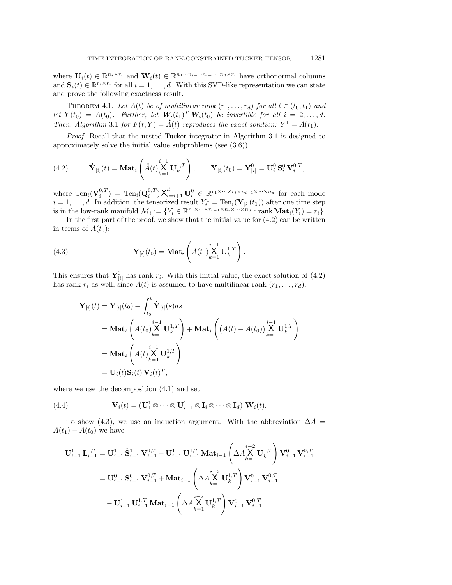where  $\mathbf{U}_i(t) \in \mathbb{R}^{n_i \times r_i}$  and  $\mathbf{W}_i(t) \in \mathbb{R}^{n_1 \cdots n_{i-1} \cdot n_{i+1} \cdots n_d \times r_i}$  have orthonormal columns and  $\mathbf{S}_i(t) \in \mathbb{R}^{r_i \times r_i}$  for all  $i = 1, \ldots, d$ . With this SVD-like representation we can state and prove the following exactness result.

THEOREM 4.1. Let  $A(t)$  be of multilinear rank  $(r_1, \ldots, r_d)$  for all  $t \in (t_0, t_1)$  and let  $Y(t_0) = A(t_0)$ . Further, let  $W_i(t_1)^T W_i(t_0)$  be invertible for all  $i = 2, ..., d$ . Then, Algorithm [3.1](#page-7-1) for  $F(t, Y) = \dot{A}(t)$  reproduces the exact solution:  $Y^1 = A(t_1)$ .

Proof. Recall that the nested Tucker integrator in Algorithm [3.1](#page-7-1) is designed to approximately solve the initial value subproblems (see [\(3.6\)](#page-5-1))

<span id="page-8-0"></span>(4.2) 
$$
\dot{\mathbf{Y}}_{[i]}(t) = \mathbf{Mat}_i\left(\dot{A}(t)\overset{i-1}{\underset{k=1}{\mathbf{X}}} \mathbf{U}_k^{1,T}\right), \qquad \mathbf{Y}_{[i]}(t_0) = \mathbf{Y}_{[i]}^0 = \mathbf{U}_i^0 \mathbf{S}_i^0 \mathbf{V}_i^{0,T},
$$

where  $\text{Ten}_i(\mathbf{V}_i^{0,T}) = \text{Ten}_i(\mathbf{Q}_i^{0,T}) \mathsf{X}_{l=i+1}^d \mathbf{U}_l^0 \in \mathbb{R}^{r_1 \times \cdots \times r_i \times n_{i+1} \times \cdots \times n_d}$  for each mode  $i = 1, \ldots, d$ . In addition, the tensorized result  $Y_i^1 = \text{Ten}_i(\mathbf{Y}_{[i]}(t_1))$  after one time step is in the low-rank manifold  $\mathcal{M}_i := \{ Y_i \in \mathbb{R}^{r_1 \times \cdots \times r_{i-1} \times n_i \times \cdots \times n_d} : \text{rank } \mathbf{Mat}_i(Y_i) = r_i \}.$ 

In the first part of the proof, we show that the initial value for  $(4.2)$  can be written in terms of  $A(t_0)$ :

<span id="page-8-1"></span>(4.3) 
$$
\mathbf{Y}_{[i]}(t_0) = \mathbf{Mat}_i \left( A(t_0) \underset{k=1}{\overset{i-1}{\mathbf{U}_k} \mathbf{U}_k^{1,T}} \right).
$$

This ensures that  $\mathbf{Y}_{[i]}^0$  has rank  $r_i$ . With this initial value, the exact solution of [\(4.2\)](#page-8-0) has rank  $r_i$  as well, since  $A(t)$  is assumed to have multilinear rank  $(r_1, \ldots, r_d)$ :

$$
\mathbf{Y}_{[i]}(t) = \mathbf{Y}_{[i]}(t_0) + \int_{t_0}^t \dot{\mathbf{Y}}_{[i]}(s) ds
$$
  
=  $\mathbf{Mat}_i \left( A(t_0) \underset{k=1}{\overset{i-1}{\mathbf{X}}} \mathbf{U}_k^{1,T} \right) + \mathbf{Mat}_i \left( (A(t) - A(t_0)) \underset{k=1}{\overset{i-1}{\mathbf{X}}} \mathbf{U}_k^{1,T} \right)$   
=  $\mathbf{Mat}_i \left( A(t) \underset{k=1}{\overset{i-1}{\mathbf{X}}} \mathbf{U}_k^{1,T} \right)$   
=  $\mathbf{U}_i(t) \mathbf{S}_i(t) \mathbf{V}_i(t)^T$ ,

where we use the decomposition [\(4.1\)](#page-7-3) and set

<span id="page-8-2"></span>(4.4) 
$$
\mathbf{V}_i(t) = (\mathbf{U}_1^1 \otimes \cdots \otimes \mathbf{U}_{i-1}^1 \otimes \mathbf{I}_i \otimes \cdots \otimes \mathbf{I}_d) \mathbf{W}_i(t).
$$

To show [\(4.3\)](#page-8-1), we use an induction argument. With the abbreviation  $\Delta A =$  $A(t_1) - A(t_0)$  we have

$$
\begin{aligned} \mathbf{U}_{i-1}^{1}\,\mathbf{L}_{i-1}^{0,T} &= \mathbf{U}_{i-1}^{1}\,\widehat{\mathbf{S}}_{i-1}^{1}\,\mathbf{V}_{i-1}^{0,T} - \mathbf{U}_{i-1}^{1}\,\mathbf{U}_{i-1}^{1,T}\,\mathbf{Mat}_{i-1}\left(\Delta A\overset{i-2}{\underset{k=1}{\mathbf{X}}} \mathbf{U}_{k}^{1,T}\right)\mathbf{V}_{i-1}^{0}\,\mathbf{V}_{i-1}^{0,T} \\ &= \mathbf{U}_{i-1}^{0}\,\mathbf{S}_{i-1}^{0}\,\mathbf{V}_{i-1}^{0,T} + \mathbf{Mat}_{i-1}\left(\Delta A\overset{i-2}{\underset{k=1}{\mathbf{X}}} \mathbf{U}_{k}^{1,T}\right)\mathbf{V}_{i-1}^{0}\,\mathbf{V}_{i-1}^{0,T} \\ &- \mathbf{U}_{i-1}^{1}\,\mathbf{U}_{i-1}^{1,T}\,\mathbf{Mat}_{i-1}\left(\Delta A\overset{i-2}{\underset{k=1}{\mathbf{X}}} \mathbf{U}_{k}^{1,T}\right)\mathbf{V}_{i-1}^{0}\,\mathbf{V}_{i-1}^{0,T} \end{aligned}
$$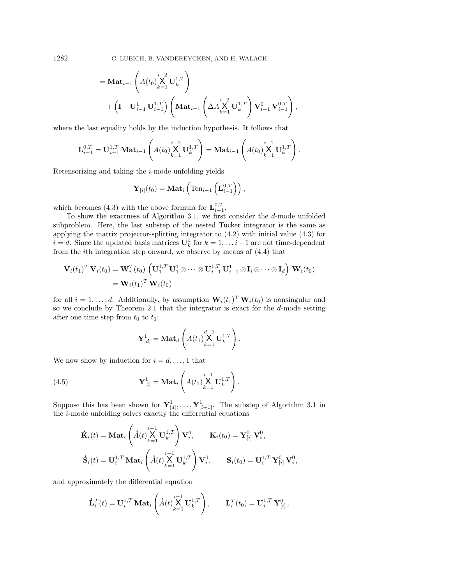1282 C. LUBICH, B. VANDEREYCKEN, AND H. WALACH

$$
= \mathbf{Mat}_{i-1} \left( A(t_0) \underset{k=1}{\overset{i-2}{\mathbf{X}}} \mathbf{U}_k^{1,T} \right) + \left( \mathbf{I} - \mathbf{U}_{i-1}^{1} \mathbf{U}_{i-1}^{1,T} \right) \left( \mathbf{Mat}_{i-1} \left( \Delta A \underset{k=1}{\overset{i-2}{\mathbf{X}}} \mathbf{U}_k^{1,T} \right) \mathbf{V}_{i-1}^0 \mathbf{V}_{i-1}^0 \right),
$$

where the last equality holds by the induction hypothesis. It follows that

$$
\mathbf{L}_{i-1}^{0,T} = \mathbf{U}_{i-1}^{1,T} \mathbf{M} \mathbf{at}_{i-1} \left( A(t_0) \underset{k=1}{\overset{i-2}{\mathbf{X}}} \mathbf{U}_k^{1,T} \right) = \mathbf{M} \mathbf{at}_{i-1} \left( A(t_0) \underset{k=1}{\overset{i-1}{\mathbf{X}}} \mathbf{U}_k^{1,T} \right).
$$

Retensorizing and taking the  $i$ -mode unfolding yields

$$
\mathbf{Y}_{[i]}(t_0) = \mathbf{Mat}_i\left(\mathrm{Ten}_{i-1}\left(\mathbf{L}_{i-1}^{0,T}\right)\right),\,
$$

which becomes [\(4.3\)](#page-8-1) with the above formula for  $\mathbf{L}_{i-1}^{0,T}$ .

To show the exactness of Algorithm [3.1,](#page-7-1) we first consider the  $d$ -mode unfolded subproblem. Here, the last substep of the nested Tucker integrator is the same as applying the matrix projector-splitting integrator to [\(4.2\)](#page-8-0) with initial value [\(4.3\)](#page-8-1) for  $i = d$ . Since the updated basis matrices  $\mathbf{U}_k^1$  for  $k = 1, \ldots, i-1$  are not time-dependent from the ith integration step onward, we observe by means of [\(4.4\)](#page-8-2) that

$$
\mathbf{V}_{i}(t_{1})^{T} \mathbf{V}_{i}(t_{0}) = \mathbf{W}_{i}^{T}(t_{0}) \left( \mathbf{U}_{1}^{1,T} \mathbf{U}_{1}^{1} \otimes \cdots \otimes \mathbf{U}_{i-1}^{1,T} \mathbf{U}_{i-1}^{1} \otimes \mathbf{I}_{i} \otimes \cdots \otimes \mathbf{I}_{d} \right) \mathbf{W}_{i}(t_{0})
$$
  
=  $\mathbf{W}_{i}(t_{1})^{T} \mathbf{W}_{i}(t_{0})$ 

for all  $i = 1, ..., d$ . Additionally, by assumption  $\mathbf{W}_i(t_1)^T \mathbf{W}_i(t_0)$  is nonsingular and so we conclude by Theorem [2.1](#page-2-4) that the integrator is exact for the d-mode setting after one time step from  $t_0$  to  $t_1$ :

$$
\mathbf{Y}_{[d]}^1 = \mathbf{Mat}_d\left(A(t_1)\overset{d-1}{\underset{k=1}{\times}}\mathbf{U}_k^{1,T}\right)
$$

.

We now show by induction for  $i = d, \ldots, 1$  that

<span id="page-9-0"></span>(4.5) 
$$
\mathbf{Y}_{[i]}^1 = \mathbf{Mat}_i \left( A(t_1) \underset{k=1}{\overset{i-1}{\mathbf{X}}} \mathbf{U}_k^{1,T} \right).
$$

Suppose this has been shown for  $\mathbf{Y}_{[d]}^1, \ldots, \mathbf{Y}_{[i+1]}^1$ . The substep of Algorithm [3.1](#page-7-1) in the i-mode unfolding solves exactly the differential equations

$$
\dot{\mathbf{K}}_i(t) = \mathbf{Mat}_i \left( \dot{A}(t) \underset{k=1}{\overset{i-1}{\mathbf{X}}} \mathbf{U}_k^{1,T} \right) \mathbf{V}_i^0, \qquad \mathbf{K}_i(t_0) = \mathbf{Y}_{[i]}^0 \mathbf{V}_i^0,
$$
\n
$$
\dot{\mathbf{S}}_i(t) = \mathbf{U}_i^{1,T} \mathbf{Mat}_i \left( \dot{A}(t) \underset{k=1}{\overset{i-1}{\mathbf{X}}} \mathbf{U}_k^{1,T} \right) \mathbf{V}_i^0, \qquad \mathbf{S}_i(t_0) = \mathbf{U}_i^{1,T} \mathbf{Y}_{[i]}^0 \mathbf{V}_i^0,
$$

and approximately the differential equation

$$
\dot{\mathbf{L}}_i^T(t) = \mathbf{U}_i^{1,T} \, \mathbf{Mat}_i \left( \dot{A}(t) \overset{i-1}{\underset{k=1}{\times}} \mathbf{U}_k^{1,T} \right), \qquad \mathbf{L}_i^T(t_0) = \mathbf{U}_i^{1,T} \, \mathbf{Y}_{[i]}^0.
$$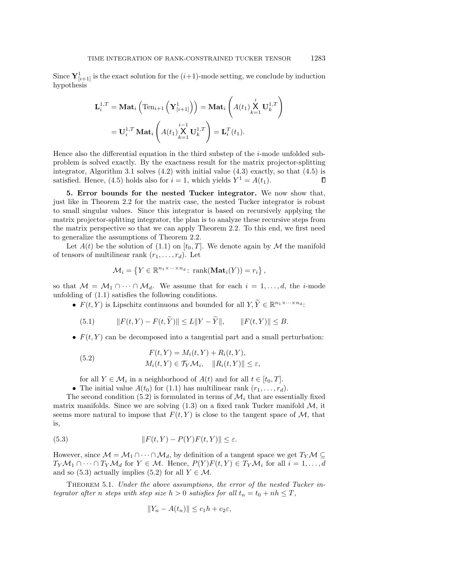Since  $\mathbf{Y}_{[i+1]}^1$  is the exact solution for the  $(i+1)$ -mode setting, we conclude by induction hypothesis

$$
\mathbf{L}_{i}^{1,T} = \mathbf{Mat}_{i} \left( \mathrm{Ten}_{i+1} \left( \mathbf{Y}_{[i+1]}^{1} \right) \right) = \mathbf{Mat}_{i} \left( A(t_{1}) \underset{k=1}{\overset{i}{\mathbf{X}}} \mathbf{U}_{k}^{1,T} \right)
$$

$$
= \mathbf{U}_{i}^{1,T} \mathbf{Mat}_{i} \left( A(t_{1}) \underset{k=1}{\overset{i-1}{\mathbf{X}}} \mathbf{U}_{k}^{1,T} \right) = \mathbf{L}_{i}^{T}(t_{1}).
$$

Hence also the differential equation in the third substep of the  $i$ -mode unfolded subproblem is solved exactly. By the exactness result for the matrix projector-splitting integrator, Algorithm [3.1](#page-7-1) solves  $(4.2)$  with initial value  $(4.3)$  exactly, so that  $(4.5)$  is satisfied. Hence, [\(4.5\)](#page-9-0) holds also for  $i = 1$ , which yields  $Y^1 = A(t_1)$ .  $\Box$ 

<span id="page-10-0"></span>5. Error bounds for the nested Tucker integrator. We now show that, just like in Theorem [2.2](#page-2-0) for the matrix case, the nested Tucker integrator is robust to small singular values. Since this integrator is based on recursively applying the matrix projector-splitting integrator, the plan is to analyze these recursive steps from the matrix perspective so that we can apply Theorem [2.2.](#page-2-0) To this end, we first need to generalize the assumptions of Theorem [2.2.](#page-2-0)

Let  $A(t)$  be the solution of [\(1.1\)](#page-0-1) on  $[t_0, T]$ . We denote again by M the manifold of tensors of multilinear rank  $(r_1, \ldots, r_d)$ . Let

$$
\mathcal{M}_i = \left\{ Y \in \mathbb{R}^{n_1 \times \dots \times n_d} \colon \operatorname{rank}(\mathbf{Mat}_i(Y)) = r_i \right\},\
$$

so that  $\mathcal{M} = \mathcal{M}_1 \cap \cdots \cap \mathcal{M}_d$ . We assume that for each  $i = 1, \ldots, d$ , the *i*-mode unfolding of [\(1.1\)](#page-0-1) satisfies the following conditions.

•  $F(t, Y)$  is Lipschitz continuous and bounded for all  $Y, \widetilde{Y} \in \mathbb{R}^{n_1 \times \cdots \times n_d}$ :

<span id="page-10-3"></span>(5.1) 
$$
||F(t,Y) - F(t,\widetilde{Y})|| \le L||Y - \widetilde{Y}||, \qquad ||F(t,Y)|| \le B.
$$

•  $F(t, Y)$  can be decomposed into a tangential part and a small perturbation:

<span id="page-10-1"></span>(5.2) 
$$
F(t, Y) = M_i(t, Y) + R_i(t, Y),
$$

$$
M_i(t, Y) \in \mathcal{T}_Y \mathcal{M}_i, \quad ||R_i(t, Y)|| \le \varepsilon,
$$

for all  $Y \in \mathcal{M}_i$  in a neighborhood of  $A(t)$  and for all  $t \in [t_0, T]$ .

• The initial value  $A(t_0)$  for [\(1.1\)](#page-0-1) has multilinear rank  $(r_1, \ldots, r_d)$ .

The second condition [\(5.2\)](#page-10-1) is formulated in terms of  $\mathcal{M}_i$  that are essentially fixed matrix manifolds. Since we are solving  $(1.3)$  on a fixed rank Tucker manifold  $\mathcal{M}$ , it seems more natural to impose that  $F(t, Y)$  is close to the tangent space of M, that is,

(5.3) 
$$
||F(t,Y) - P(Y)F(t,Y)|| \le \varepsilon.
$$

However, since  $M = M_1 \cap \cdots \cap M_d$ , by definition of a tangent space we get  $T_Y M \subseteq$  $T_Y M_1 \cap \cdots \cap T_Y M_d$  for  $Y \in \mathcal{M}$ . Hence,  $P(Y)F(t, Y) \in T_Y M_i$  for all  $i = 1, \ldots, d$ and so [\(5.3\)](#page-10-2) actually implies [\(5.2\)](#page-10-1) for all  $Y \in \mathcal{M}$ .

THEOREM 5.1. Under the above assumptions, the error of the nested Tucker integrator after n steps with step size  $h > 0$  satisfies for all  $t_n = t_0 + nh \leq T$ ,

<span id="page-10-2"></span>
$$
||Y_n - A(t_n)|| \le c_1 h + c_2 \varepsilon,
$$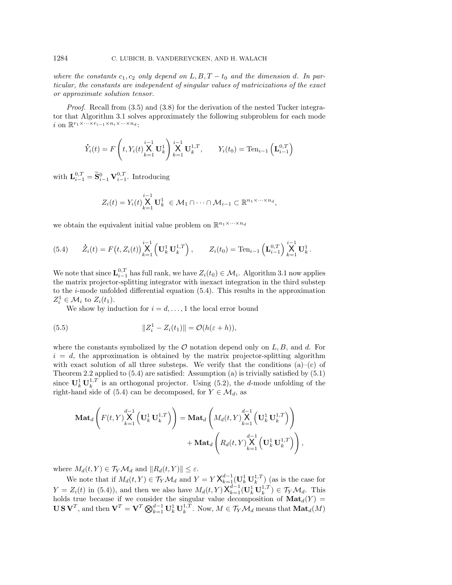where the constants  $c_1, c_2$  only depend on  $L, B, T - t_0$  and the dimension d. In particular, the constants are independent of singular values of matricizations of the exact or approximate solution tensor.

*Proof.* Recall from  $(3.5)$  and  $(3.8)$  for the derivation of the nested Tucker integrator that Algorithm [3.1](#page-7-1) solves approximately the following subproblem for each mode i on  $\mathbb{R}^{r_1 \times \cdots \times r_{i-1} \times n_i \times \cdots \times n_d}$ :

$$
\dot{Y}_i(t) = F\left(t, Y_i(t) \mathbf{X}_{k=1}^{i-1} \mathbf{U}_k^1\right) \mathbf{X}_{k=1}^{i-1} \mathbf{U}_k^{1,T}, \qquad Y_i(t_0) = \text{Ten}_{i-1}\left(\mathbf{L}_{i-1}^{0,T}\right)
$$

with  $\mathbf{L}_{i-1}^{0,T} = \widetilde{\mathbf{S}}_{i-1}^0 \mathbf{V}_{i-1}^{0,T}$ . Introducing

$$
Z_i(t) = Y_i(t) \mathop{\mathbf{X}}\limits_{k=1}^{i-1} \mathbf{U}_k^1 \in \mathcal{M}_1 \cap \cdots \cap \mathcal{M}_{i-1} \subset \mathbb{R}^{n_1 \times \cdots \times n_d},
$$

we obtain the equivalent initial value problem on  $\mathbb{R}^{n_1 \times \cdots \times n_d}$ 

<span id="page-11-0"></span>(5.4) 
$$
\dot{Z}_i(t) = F(t, Z_i(t)) \bigg[ \bigvee_{k=1}^{i-1} \left( \mathbf{U}_k^1 \mathbf{U}_k^{1,T} \right), \qquad Z_i(t_0) = \text{Ten}_{i-1} \left( \mathbf{L}_{i-1}^{0,T} \right) \bigvee_{k=1}^{i-1} \mathbf{U}_k^1.
$$

We note that since  $\mathbf{L}_{i-1}^{0,T}$  has full rank, we have  $Z_i(t_0) \in \mathcal{M}_i$ . Algorithm [3.1](#page-7-1) now applies the matrix projector-splitting integrator with inexact integration in the third substep to the  $i$ -mode unfolded differential equation  $(5.4)$ . This results in the approximation  $Z_i^1 \in \mathcal{M}_i$  to  $Z_i(t_1)$ .

We show by induction for  $i = d, \ldots, 1$  the local error bound

<span id="page-11-1"></span>(5.5) 
$$
||Z_i^1 - Z_i(t_1)|| = \mathcal{O}(h(\varepsilon + h)),
$$

where the constants symbolized by the  $\mathcal O$  notation depend only on L, B, and d. For  $i = d$ , the approximation is obtained by the matrix projector-splitting algorithm with exact solution of all three substeps. We verify that the conditions  $(a)-(c)$  of Theorem [2.2](#page-2-0) applied to [\(5.4\)](#page-11-0) are satisfied: Assumption (a) is trivially satisfied by [\(5.1\)](#page-10-3) since  $\mathbf{U}_k^1 \mathbf{U}_k^{1,T}$  is an orthogonal projector. Using [\(5.2\)](#page-10-1), the *d*-mode unfolding of the right-hand side of [\(5.4\)](#page-11-0) can be decomposed, for  $Y \in \mathcal{M}_d$ , as

$$
\begin{aligned} \mathbf{Mat}_d\left(F(t,Y)\overset{d-1}{\underset{k=1}{\mathbf{X}}} \left(\mathbf{U}_k^1\mathbf{U}_k^{1,T}\right)\right) &= \mathbf{Mat}_d\left(M_d(t,Y)\overset{d-1}{\underset{k=1}{\mathbf{X}}} \left(\mathbf{U}_k^1\mathbf{U}_k^{1,T}\right)\right) \\ &+ \mathbf{Mat}_d\left(R_d(t,Y)\overset{d-1}{\underset{k=1}{\mathbf{X}}} \left(\mathbf{U}_k^1\mathbf{U}_k^{1,T}\right)\right),\end{aligned}
$$

where  $M_d(t, Y) \in T_Y \mathcal{M}_d$  and  $||R_d(t, Y)|| \leq \varepsilon$ .

We note that if  $M_d(t, Y) \in \mathcal{T}_Y \mathcal{M}_d$  and  $Y = Y \mathsf{X}_{k=1}^{d-1}(\mathbf{U}_k^1 \mathbf{U}_k^{1,T})$  (as is the case for  $Y = Z_i(t)$  in [\(5.4\)](#page-11-0)), and then we also have  $M_d(t,Y) \mathsf{X}_{k=1}^{d-1}(\mathbf{U}_k^1 \mathbf{U}_k^{1,T}) \in \mathcal{T}_Y \mathcal{M}_d$ . This holds true because if we consider the singular value decomposition of  $\text{Mat}_{d}(Y) =$  $\mathbf{U}\,\mathbf{S}\,\mathbf{V}^T,$  and then  $\mathbf{V}^T=\mathbf{V}^T\bigotimes_{k=1}^{d-1}\mathbf{U}_k^1\,\mathbf{U}_k^{1,T}$ . Now,  $M\in\mathcal{T}_Y\mathcal{M}_d$  means that  $\mathbf{Mat}_d(M)$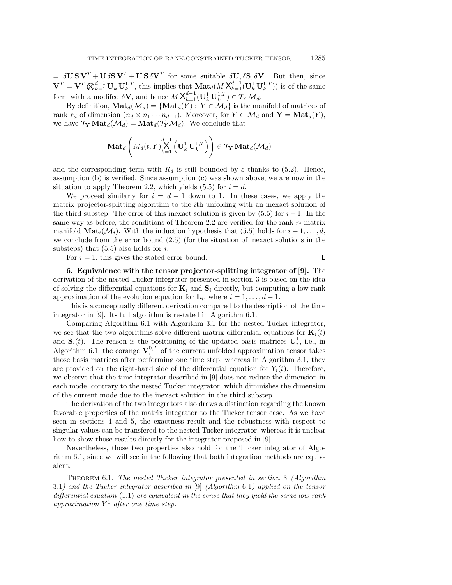$= \delta \mathbf{U} \mathbf{S} \mathbf{V}^T + \mathbf{U} \delta \mathbf{S} \mathbf{V}^T + \mathbf{U} \mathbf{S} \delta \mathbf{V}^T$  for some suitable  $\delta \mathbf{U}, \delta \mathbf{S}, \delta \mathbf{V}$ . But then, since  $\mathbf{V}^T = \mathbf{V}^T \bigotimes_{k=1}^{d-1} \mathbf{U}_k^1 \mathbf{U}_k^{1,T}$ , this implies that  $\mathbf{Mat}_d(M \mathsf{X}_{k=1}^{d-1}(\mathbf{U}_k^1 \mathbf{U}_k^{1,T}))$  is of the same form with a modifed  $\delta \mathbf{V}$ , and hence  $M \mathsf{X}_{k=1}^{d-1}(\mathbf{U}_k^1 \mathbf{U}_k^{1,T}) \in \mathcal{T}_Y \mathcal{M}_d$ .

By definition,  $\text{Mat}_d(\mathcal{M}_d) = \{ \text{Mat}_d(\tilde{Y}) : Y \in \mathcal{M}_d \}$  is the manifold of matrices of rank  $r_d$  of dimension  $(n_d \times n_1 \cdots n_{d-1})$ . Moreover, for  $Y \in \mathcal{M}_d$  and  $\mathbf{Y} = \mathbf{Mat}_d(Y)$ , we have  $\mathcal{T}_{\mathbf{Y}} \mathbf{Mat}_{d}(\mathcal{M}_{d}) = \mathbf{Mat}_{d}(\mathcal{T}_{Y}\mathcal{M}_{d})$ . We conclude that

$$
\mathbf{Mat}_{d}\left(M_{d}(t,Y)\overset{d-1}{\underset{k=1}{\mathbf{X}}}\left(\mathbf{U}_{k}^{1}\,\mathbf{U}_{k}^{1,T}\right)\right)\in\mathcal{T}_{\mathbf{Y}}\,\mathbf{Mat}_{d}(\mathcal{M}_{d})
$$

and the corresponding term with  $R_d$  is still bounded by  $\varepsilon$  thanks to [\(5.2\)](#page-10-1). Hence, assumption (b) is verified. Since assumption (c) was shown above, we are now in the situation to apply Theorem [2.2,](#page-2-0) which yields [\(5.5\)](#page-11-1) for  $i = d$ .

We proceed similarly for  $i = d - 1$  down to 1. In these cases, we apply the matrix projector-splitting algorithm to the ith unfolding with an inexact solution of the third substep. The error of this inexact solution is given by  $(5.5)$  for  $i+1$ . In the same way as before, the conditions of Theorem [2.2](#page-2-0) are verified for the rank  $r_i$  matrix manifold  $\text{Mat}_i(\mathcal{M}_i)$ . With the induction hypothesis that [\(5.5\)](#page-11-1) holds for  $i+1,\ldots,d$ , we conclude from the error bound [\(2.5\)](#page-3-2) (for the situation of inexact solutions in the substeps) that  $(5.5)$  also holds for i.

For  $i = 1$ , this gives the stated error bound.

 $\Box$ 

<span id="page-12-0"></span>6. Equivalence with the tensor projector-splitting integrator of [\[9\]](#page-17-3). The derivation of the nested Tucker integrator presented in section [3](#page-3-0) is based on the idea of solving the differential equations for  $\mathbf{K}_i$  and  $\mathbf{S}_i$  directly, but computing a low-rank approximation of the evolution equation for  $\mathbf{L}_i$ , where  $i = 1, \ldots, d - 1$ .

This is a conceptually different derivation compared to the description of the time integrator in [\[9\]](#page-17-3). Its full algorithm is restated in Algorithm [6.1.](#page-13-0)

Comparing Algorithm [6.1](#page-13-0) with Algorithm [3.1](#page-7-1) for the nested Tucker integrator, we see that the two algorithms solve different matrix differential equations for  $\mathbf{K}_i(t)$ and  $S_i(t)$ . The reason is the positioning of the updated basis matrices  $U_i^1$ , i.e., in Algorithm [6.1,](#page-13-0) the corange  $\mathbf{V}_i^{0,T}$  of the current unfolded approximation tensor takes those basis matrices after performing one time step, whereas in Algorithm [3.1,](#page-7-1) they are provided on the right-hand side of the differential equation for  $Y_i(t)$ . Therefore, we observe that the time integrator described in [\[9\]](#page-17-3) does not reduce the dimension in each mode, contrary to the nested Tucker integrator, which diminishes the dimension of the current mode due to the inexact solution in the third substep.

The derivation of the two integrators also draws a distinction regarding the known favorable properties of the matrix integrator to the Tucker tensor case. As we have seen in sections [4](#page-7-0) and [5,](#page-10-0) the exactness result and the robustness with respect to singular values can be transfered to the nested Tucker integrator, whereas it is unclear how to show those results directly for the integrator proposed in [\[9\]](#page-17-3).

Nevertheless, those two properties also hold for the Tucker integrator of Algorithm [6.1,](#page-13-0) since we will see in the following that both integration methods are equivalent.

Theorem 6.1. The nested Tucker integrator presented in section [3](#page-3-0) (Algorithm [3.1](#page-7-1)) and the Tucker integrator described in [\[9\]](#page-17-3) (Algorithm [6.1](#page-13-0)) applied on the tensor differential equation  $(1.1)$  are equivalent in the sense that they yield the same low-rank approximation  $Y^1$  after one time step.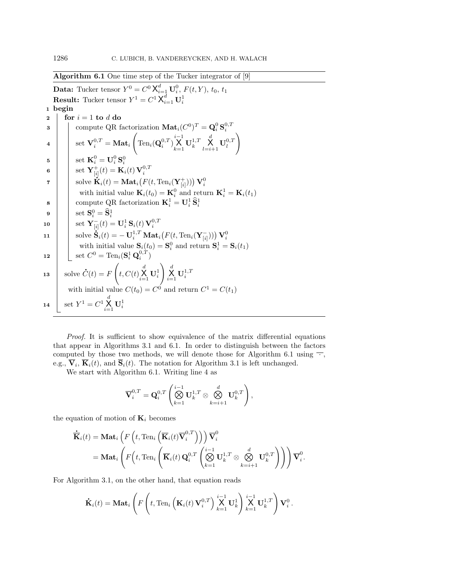Algorithm 6.1 One time step of the Tucker integrator of [\[9\]](#page-17-3)

<span id="page-13-1"></span><span id="page-13-0"></span>**Data:** Tucker tensor  $Y^0 = C^0 \mathsf{X}_{i=1}^d \mathbf{U}_i^0$ ,  $F(t, Y)$ ,  $t_0$ ,  $t_1$ **Result:** Tucker tensor  $Y^1 = C^1 X_{i=1}^d \mathbf{U}_i^1$ 1 begin 2 for  $i = 1$  to d do 3 \[ \] compute QR factorization  $\textbf{Mat}_i(C^0)^T = \textbf{Q}_i^0 \textbf{S}_i^{0,T}$  $\texttt{4} \quad \Big| \quad \Big| \quad \text{set} \ \mathbf{V}^{0,T}_i = \mathbf{Mat}_i$  $\sqrt{2}$  $\text{Ten}_i(\mathbf{Q}_i^{0,T})$  $\bigtimes\limits_{k=1}^{i-1}\mathbf{U}_{k}^{1,T}$  $\operatorname*{X}\limits_{l=i+1}^d \mathbf{U}_l^{0,T}$  $\setminus$  $\mathbf{5} \quad | \quad \text{ } \quad \text{ set } \ \mathbf{K}_i^0 = \mathbf{U}_i^0\,\mathbf{S}_i^0$ 6 set  $\mathbf{Y}_{[i]}^+(t) = \mathbf{K}_i(t) \mathbf{V}_i^{0,T}$  $\mathbf{r} \quad | \quad \quad \text{solve } \mathbf{\dot{K}}_i(t) = \mathbf{Mat}_i\big(F(t,\text{Ten}_i(\mathbf{Y}_{[i]}^+))\big) \, \mathbf{V}_i^0$ with initial value  $\mathbf{K}_{i}(t_0) = \mathbf{K}_{i}^0$  and return  $\mathbf{K}_{i}^1 = \mathbf{K}_{i}(t_1)$ 8 compute QR factorization  $\mathbf{K}_i^1 = \mathbf{U}_i^1 \, \widehat{\mathbf{S}}_i^1$  $\mathbf{9}$   $\Big|\phantom{.}$  set  $\mathbf{S}^0_i = \widehat{\mathbf{S}}^1_i$ 10  $\mathbf{V}_{[i]}^-(t) = \mathbf{U}_i^1 \mathbf{S}_i(t) \mathbf{V}_i^{0,T}$  $\mathbf{11} \quad \Big\vert \quad \text{ solve } \mathbf{\dot{S}}_i(t) = -\,\mathbf{U}_i^{1,T} \, \mathbf{Mat}_i\big(F(t,\text{Ten}_i(\mathbf{Y}_{[i]}^-))\big) \, \mathbf{V}_i^0$ with initial value  $\mathbf{S}_i(t_0) = \mathbf{S}_i^0$  and return  $\mathbf{S}_i^1 = \mathbf{S}_i(t_1)$ 12  $\Big| \Big| \mathop{\rm set}\nolimits C^0 = \mathrm{Ten}_i(\mathbf{S}_i^1 \mathbf{Q}_i^{0,T})$ 13 Solve  $\dot{C}(t) = F$  $\sqrt{ }$  $t,C(t)\sum\limits_{i=1}^d {\mathbf{U}}_i^1$  $\bigg\}\bigg|_{i=1}^d \mathbf{U}_i^{1,T}$ with initial value  $C(t_0) = C^0$  and return  $C^1 = C(t_1)$ 14 Set  $Y^1 = C^1 \times \atop_{i=1}^d U_i^1$ 

Proof. It is sufficient to show equivalence of the matrix differential equations that appear in Algorithms [3.1](#page-7-1) and [6.1.](#page-13-0) In order to distinguish between the factors computed by those two methods, we will denote those for Algorithm [6.1](#page-13-0) using  $\overline{\phantom{a}}$ . e.g.,  $\mathbf{V}_i$ ,  $\mathbf{K}_i(t)$ , and  $\mathbf{S}_i(t)$ . The notation for Algorithm [3.1](#page-7-1) is left unchanged.

We start with Algorithm [6.1.](#page-13-0) Writing line [4](#page-13-1) as

$$
\overline{\mathbf{V}}_i^{0,T} = \mathbf{Q}_i^{0,T} \left( \bigotimes_{k=1}^{i-1} \mathbf{U}_k^{1,T} \otimes \bigotimes_{k=i+1}^d \mathbf{U}_k^{0,T} \right),
$$

the equation of motion of  $\mathbf{K}_i$  becomes

$$
\dot{\overline{\mathbf{K}}}_{i}(t) = \mathbf{Mat}_{i}\left(F\left(t, \text{Ten}_{i}\left(\overline{\mathbf{K}}_{i}(t)\overline{\mathbf{V}}_{i}^{0,T}\right)\right)\right)\overline{\mathbf{V}}_{i}^{0}
$$
\n
$$
= \mathbf{Mat}_{i}\left(F\left(t, \text{Ten}_{i}\left(\overline{\mathbf{K}}_{i}(t)\mathbf{Q}_{i}^{0,T}\left(\bigotimes_{k=1}^{i-1}\mathbf{U}_{k}^{1,T}\otimes\bigotimes_{k=i+1}^{d}\mathbf{U}_{k}^{0,T}\right)\right)\right)\overline{\mathbf{V}}_{i}^{0}.
$$

For Algorithm [3.1,](#page-7-1) on the other hand, that equation reads

$$
\dot{\mathbf{K}}_i(t) = \mathbf{Mat}_i \left( F\left( t, \text{Ten}_i \left( \mathbf{K}_i(t) \, \mathbf{V}_i^{0,T} \right) \bigtimes_{k=1}^{i-1} \mathbf{U}_k^1 \right) \bigtimes_{k=1}^{i-1} \mathbf{U}_k^{1,T} \right) \mathbf{V}_i^0.
$$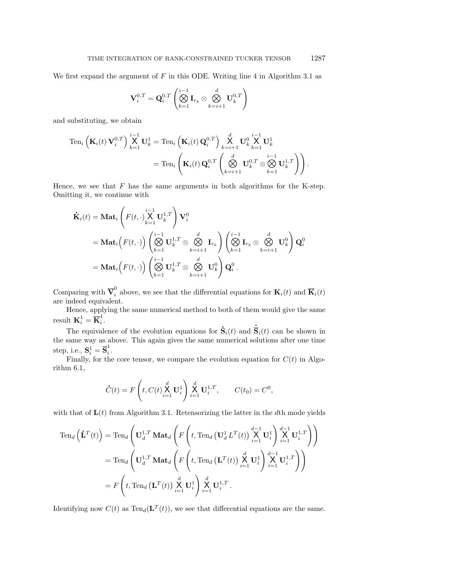We first expand the argument of  $F$  in this ODE. Writing line [4](#page-7-2) in Algorithm [3.1](#page-7-1) as

$$
\mathbf{V}_{i}^{0,T} = \mathbf{Q}_{i}^{0,T} \left( \bigotimes_{k=1}^{i-1} \mathbf{I}_{r_k} \otimes \bigotimes_{k=i+1}^{d} \mathbf{U}_{k}^{0,T} \right)
$$

and substituting, we obtain

$$
\begin{split} \operatorname{Ten}_i\left(\mathbf{K}_i(t)\,\mathbf{V}_i^{0,T}\right) & \stackrel{i-1}{\mathsf{X}}\mathbf{U}_k^1 = \operatorname{Ten}_i\left(\mathbf{K}_i(t)\,\mathbf{Q}_i^{0,T}\right) \mathop{\times}\limits_{k=i+1}^d \mathbf{U}_k^0 \mathop{\times}\limits_{k=1}^i \mathbf{U}_k^1 \\ &= \operatorname{Ten}_i\left(\mathbf{K}_i(t)\,\mathbf{Q}_i^{0,T}\left(\mathop{\otimes}\limits_{k=i+1}^d \mathbf{U}_k^{0,T}\otimes\mathop{\otimes}\limits_{k=1}^{i-1} \mathbf{U}_k^{1,T}\right)\right). \end{split}
$$

Hence, we see that  $F$  has the same arguments in both algorithms for the K-step. Omitting it, we continue with

$$
\dot{\mathbf{K}}_{i}(t) = \mathbf{Mat}_{i} \left( F(t, \cdot) \sum_{k=1}^{i-1} \mathbf{U}_{k}^{1,T} \right) \mathbf{V}_{i}^{0}
$$
\n
$$
= \mathbf{Mat}_{i} \left( F(t, \cdot) \right) \left( \bigotimes_{k=1}^{i-1} \mathbf{U}_{k}^{1,T} \otimes \bigotimes_{k=i+1}^{d} \mathbf{I}_{r_{k}} \right) \left( \bigotimes_{k=1}^{i-1} \mathbf{I}_{r_{k}} \otimes \bigotimes_{k=i+1}^{d} \mathbf{U}_{k}^{0} \right) \mathbf{Q}_{i}^{0}
$$
\n
$$
= \mathbf{Mat}_{i} \left( F(t, \cdot) \right) \left( \bigotimes_{k=1}^{i-1} \mathbf{U}_{k}^{1,T} \otimes \bigotimes_{k=i+1}^{d} \mathbf{U}_{k}^{0} \right) \mathbf{Q}_{i}^{0}.
$$

Comparing with  $\overline{V}_i^0$  above, we see that the differential equations for  $K_i(t)$  and  $\overline{K}_i(t)$ are indeed equivalent.

Hence, applying the same numerical method to both of them would give the same result  $\mathbf{K}_i^1 = \overline{\mathbf{K}}_i^1$  $\frac{1}{i}$ . .

The equivalence of the evolution equations for  $\dot{\mathbf{S}}$  $\dot{\mathbf{S}}_i(t)$  and  $\overline{\mathbf{S}}_i(t)$  can be shown in the same way as above. This again gives the same numerical solutions after one time step, i.e.,  $\mathbf{S}_i^1 = \overline{\mathbf{S}}_i^1$ i .

Finally, for the core tensor, we compare the evolution equation for  $C(t)$  in Algorithm [6.1,](#page-13-0)

$$
\dot{C}(t) = F\left(t, C(t) \sum_{i=1}^{d} \mathbf{U}_{i}^{1}\right) \sum_{i=1}^{d} \mathbf{U}_{i}^{1,T}, \qquad C(t_{0}) = C^{0},
$$

with that of  $L(t)$  from Algorithm [3.1.](#page-7-1) Retensorizing the latter in the dth mode yields

$$
\begin{split} \operatorname{Ten}_d\left(\dot{\mathbf{L}}^T(t)\right) &= \operatorname{Ten}_d\left(\mathbf{U}_d^{1,T} \operatorname{\mathbf{Mat}}_d\left(F\left(t,\operatorname{Ten}_d\left(\mathbf{U}_d^1 L^T(t)\right) \overset{d-1}{\underset{i=1}{\times}} \mathbf{U}_i^1\right) \overset{d-1}{\underset{i=1}{\times}} \mathbf{U}_i^{1,T}\right)\right) \\ &= \operatorname{Ten}_d\left(\mathbf{U}_d^{1,T} \operatorname{\mathbf{Mat}}_d\left(F\left(t,\operatorname{Ten}_d\left(\mathbf{L}^T(t)\right) \overset{d}{\underset{i=1}{\times}} \mathbf{U}_i^1\right) \overset{d-1}{\underset{i=1}{\times}} \mathbf{U}_i^{1,T}\right)\right) \\ &= F\left(t,\operatorname{Ten}_d\left(\mathbf{L}^T(t)\right) \overset{d}{\underset{i=1}{\times}} \mathbf{U}_i^1\right) \overset{d}{\underset{i=1}{\times}} \mathbf{U}_i^{1,T} \,. \end{split}
$$

Identifying now  $C(t)$  as  $\text{Ten}_d(\mathbf{L}^T(t))$ , we see that differential equations are the same.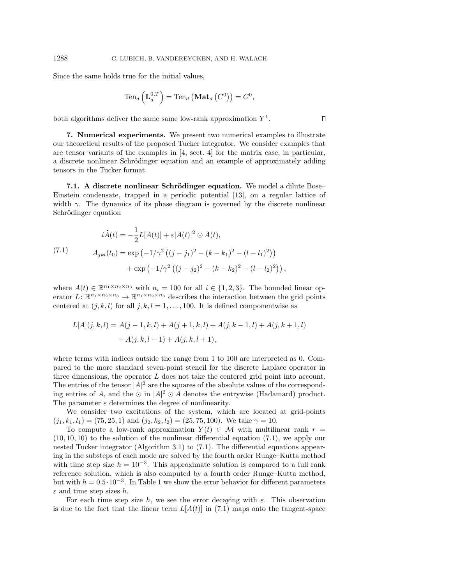Since the same holds true for the initial values,

$$
\operatorname{Ten}_d\left(\mathbf{L}_d^{0,T}\right)=\operatorname{Ten}_d\left(\operatorname{\mathbf{Mat}}_d\left(C^0\right)\right)=C^0,
$$

 $\Box$ 

both algorithms deliver the same same low-rank approximation  $Y^1$ .

<span id="page-15-0"></span>7. Numerical experiments. We present two numerical examples to illustrate our theoretical results of the proposed Tucker integrator. We consider examples that are tensor variants of the examples in  $[4, \text{ sect. } 4]$  $[4, \text{ sect. } 4]$  for the matrix case, in particular, a discrete nonlinear Schrödinger equation and an example of approximately adding tensors in the Tucker format.

7.1. A discrete nonlinear Schrödinger equation. We model a dilute Bose-Einstein condensate, trapped in a periodic potential [\[13\]](#page-17-11), on a regular lattice of width  $\gamma$ . The dynamics of its phase diagram is governed by the discrete nonlinear Schrödinger equation

<span id="page-15-1"></span>(7.1)  
\n
$$
i\dot{A}(t) = -\frac{1}{2}L[A(t)] + \varepsilon |A(t)|^2 \odot A(t),
$$
\n
$$
A_{jkl}(t_0) = \exp(-1/\gamma^2 ((j-j_1)^2 - (k-k_1)^2 - (l-l_1)^2))
$$
\n
$$
+ \exp(-1/\gamma^2 ((j-j_2)^2 - (k-k_2)^2 - (l-l_2)^2)),
$$

where  $A(t) \in \mathbb{R}^{n_1 \times n_2 \times n_3}$  with  $n_i = 100$  for all  $i \in \{1, 2, 3\}$ . The bounded linear operator  $L: \mathbb{R}^{n_1 \times n_2 \times n_3} \to \mathbb{R}^{n_1 \times n_2 \times n_3}$  describes the interaction between the grid points centered at  $(j, k, l)$  for all  $j, k, l = 1, \ldots, 100$ . It is defined componentwise as

$$
L[A](j,k,l) = A(j-1,k,l) + A(j+1,k,l) + A(j,k-1,l) + A(j,k+1,l) + A(j,k,l-1) + A(j,k,l+1),
$$

where terms with indices outside the range from 1 to 100 are interpreted as 0. Compared to the more standard seven-point stencil for the discrete Laplace operator in three dimensions, the operator L does not take the centered grid point into account. The entries of the tensor  $|A|^2$  are the squares of the absolute values of the corresponding entries of A, and the  $\odot$  in  $|A|^2 \odot A$  denotes the entrywise (Hadamard) product. The parameter  $\varepsilon$  determines the degree of nonlinearity.

We consider two excitations of the system, which are located at grid-points  $(j_1, k_1, l_1) = (75, 25, 1)$  and  $(j_2, k_2, l_2) = (25, 75, 100)$ . We take  $\gamma = 10$ .

To compute a low-rank approximation  $Y(t) \in \mathcal{M}$  with multilinear rank  $r =$  $(10, 10, 10)$  to the solution of the nonlinear differential equation  $(7.1)$ , we apply our nested Tucker integrator (Algorithm [3.1\)](#page-7-1) to [\(7.1\)](#page-15-1). The differential equations appearing in the substeps of each mode are solved by the fourth order Runge–Kutta method with time step size  $h = 10^{-3}$ . This approximate solution is compared to a full rank reference solution, which is also computed by a fourth order Runge–Kutta method, but with  $h = 0.5 \cdot 10^{-3}$  $h = 0.5 \cdot 10^{-3}$  $h = 0.5 \cdot 10^{-3}$ . In Table 1 we show the error behavior for different parameters  $\varepsilon$  and time step sizes h.

For each time step size h, we see the error decaying with  $\varepsilon$ . This observation is due to the fact that the linear term  $L[A(t)]$  in [\(7.1\)](#page-15-1) maps onto the tangent-space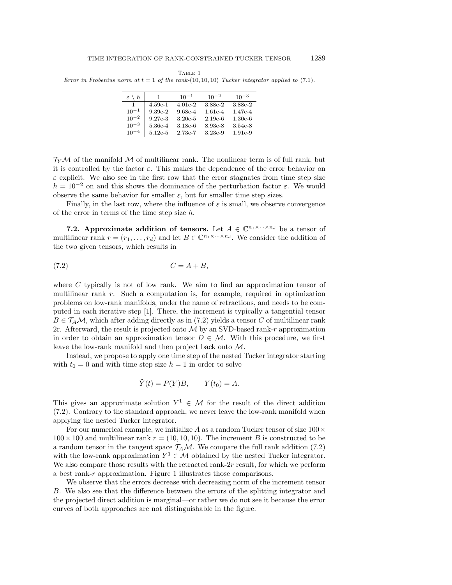<span id="page-16-0"></span>TABLE 1 Error in Frobenius norm at  $t = 1$  of the rank-(10, 10, 10) Tucker integrator applied to [\(7.1\)](#page-15-1).

| $\varepsilon \setminus h$ |           | $10^{-1}$ | $10^{-2}$ | $10^{-3}$ |
|---------------------------|-----------|-----------|-----------|-----------|
| 1                         | $4.59e-1$ | $4.01e-2$ | 3.88e-2   | 3.88e-2   |
| $10^{-1}$                 | $9.39e-2$ | $9.68e-4$ | $1.61e-4$ | $1.47e-4$ |
| $10^{-2}$                 | $9.27e-3$ | $3.20e-5$ | $2.19e-6$ | $1.30e-6$ |
| $10^{-3}$                 | 5.36e-4   | $3.18e-6$ | 8.93e-8   | $3.54e-8$ |
| $10^{-4}$                 | $5.12e-5$ | $2.73e-7$ | $3.23e-9$ | $1.91e-9$ |

 $T_Y\mathcal{M}$  of the manifold  $\mathcal M$  of multilinear rank. The nonlinear term is of full rank, but it is controlled by the factor  $\varepsilon$ . This makes the dependence of the error behavior on  $\varepsilon$  explicit. We also see in the first row that the error stagnates from time step size  $h = 10^{-2}$  on and this shows the dominance of the perturbation factor  $\varepsilon$ . We would observe the same behavior for smaller  $\varepsilon$ , but for smaller time step sizes.

Finally, in the last row, where the influence of  $\varepsilon$  is small, we observe convergence of the error in terms of the time step size  $h$ .

7.2. Approximate addition of tensors. Let  $A \in \mathbb{C}^{n_1 \times \cdots \times n_d}$  be a tensor of multilinear rank  $r = (r_1, \ldots, r_d)$  and let  $B \in \mathbb{C}^{n_1 \times \cdots \times n_d}$ . We consider the addition of the two given tensors, which results in

<span id="page-16-1"></span>
$$
(7.2) \tC = A + B,
$$

where  $C$  typically is not of low rank. We aim to find an approximation tensor of multilinear rank r. Such a computation is, for example, required in optimization problems on low-rank manifolds, under the name of retractions, and needs to be computed in each iterative step [\[1\]](#page-17-12). There, the increment is typically a tangential tensor  $B \in \mathcal{T}_A\mathcal{M}$ , which after adding directly as in [\(7.2\)](#page-16-1) yields a tensor C of multilinear rank 2r. Afterward, the result is projected onto  $\mathcal M$  by an SVD-based rank-r approximation in order to obtain an approximation tensor  $D \in \mathcal{M}$ . With this procedure, we first leave the low-rank manifold and then project back onto M.

Instead, we propose to apply one time step of the nested Tucker integrator starting with  $t_0 = 0$  and with time step size  $h = 1$  in order to solve

$$
\dot{Y}(t) = P(Y)B, \qquad Y(t_0) = A.
$$

This gives an approximate solution  $Y^1 \in \mathcal{M}$  for the result of the direct addition [\(7.2\)](#page-16-1). Contrary to the standard approach, we never leave the low-rank manifold when applying the nested Tucker integrator.

For our numerical example, we initialize A as a random Tucker tensor of size  $100 \times$  $100 \times 100$  and multilinear rank  $r = (10, 10, 10)$ . The increment B is constructed to be a random tensor in the tangent space  $\mathcal{T}_A\mathcal{M}$ . We compare the full rank addition [\(7.2\)](#page-16-1) with the low-rank approximation  $Y^1 \in \mathcal{M}$  obtained by the nested Tucker integrator. We also compare those results with the retracted rank- $2r$  result, for which we perform a best rank-r approximation. Figure [1](#page-17-13) illustrates those comparisons.

We observe that the errors decrease with decreasing norm of the increment tensor B. We also see that the difference between the errors of the splitting integrator and the projected direct addition is marginal—or rather we do not see it because the error curves of both approaches are not distinguishable in the figure.